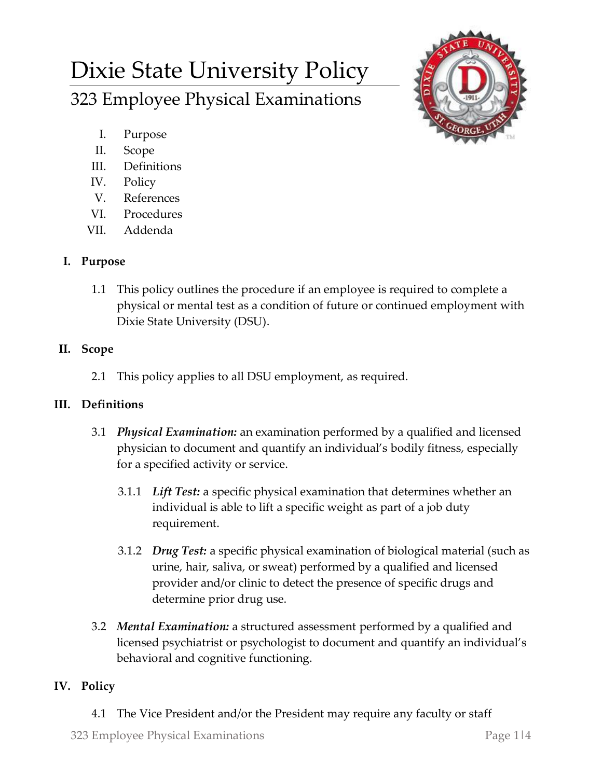# Dixie State University Policy 323 Employee Physical Examinations



- I. Purpose
- II. Scope
- III. Definitions
- IV. Policy
- V. References
- VI. Procedures
- VII. Addenda

## **I. Purpose**

1.1 This policy outlines the procedure if an employee is required to complete a physical or mental test as a condition of future or continued employment with Dixie State University (DSU).

## **II. Scope**

2.1 This policy applies to all DSU employment, as required.

### **III. Definitions**

- 3.1 *Physical Examination:* an examination performed by a qualified and licensed physician to document and quantify an individual's bodily fitness, especially for a specified activity or service.
	- 3.1.1 *Lift Test:* a specific physical examination that determines whether an individual is able to lift a specific weight as part of a job duty requirement.
	- 3.1.2 *Drug Test:* a specific physical examination of biological material (such as urine, hair, saliva, or sweat) performed by a qualified and licensed provider and/or clinic to detect the presence of specific drugs and determine prior drug use.
- 3.2 *Mental Examination:* a structured assessment performed by a qualified and licensed psychiatrist or psychologist to document and quantify an individual's behavioral and cognitive functioning.

# **IV. Policy**

4.1 The Vice President and/or the President may require any faculty or staff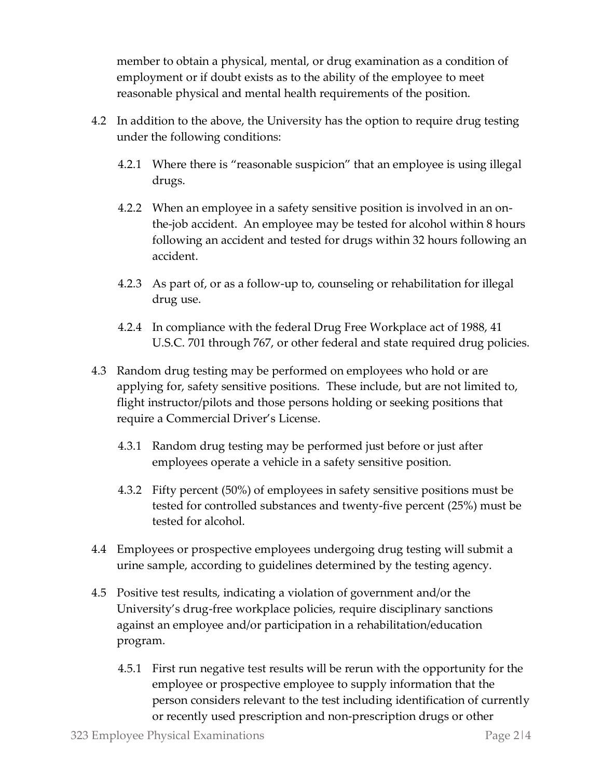member to obtain a physical, mental, or drug examination as a condition of employment or if doubt exists as to the ability of the employee to meet reasonable physical and mental health requirements of the position.

- 4.2 In addition to the above, the University has the option to require drug testing under the following conditions:
	- 4.2.1 Where there is "reasonable suspicion" that an employee is using illegal drugs.
	- 4.2.2 When an employee in a safety sensitive position is involved in an onthe-job accident. An employee may be tested for alcohol within 8 hours following an accident and tested for drugs within 32 hours following an accident.
	- 4.2.3 As part of, or as a follow-up to, counseling or rehabilitation for illegal drug use.
	- 4.2.4 In compliance with the federal Drug Free Workplace act of 1988, 41 U.S.C. 701 through 767, or other federal and state required drug policies.
- 4.3 Random drug testing may be performed on employees who hold or are applying for, safety sensitive positions. These include, but are not limited to, flight instructor/pilots and those persons holding or seeking positions that require a Commercial Driver's License.
	- 4.3.1 Random drug testing may be performed just before or just after employees operate a vehicle in a safety sensitive position.
	- 4.3.2 Fifty percent (50%) of employees in safety sensitive positions must be tested for controlled substances and twenty-five percent (25%) must be tested for alcohol.
- 4.4 Employees or prospective employees undergoing drug testing will submit a urine sample, according to guidelines determined by the testing agency.
- 4.5 Positive test results, indicating a violation of government and/or the University's drug-free workplace policies, require disciplinary sanctions against an employee and/or participation in a rehabilitation/education program.
	- 4.5.1 First run negative test results will be rerun with the opportunity for the employee or prospective employee to supply information that the person considers relevant to the test including identification of currently or recently used prescription and non-prescription drugs or other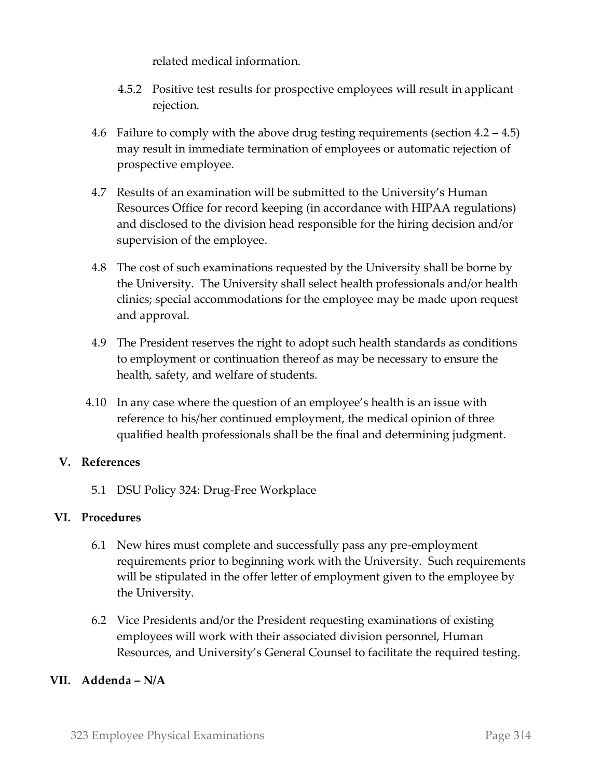related medical information.

- 4.5.2 Positive test results for prospective employees will result in applicant rejection.
- 4.6 Failure to comply with the above drug testing requirements (section 4.2 4.5) may result in immediate termination of employees or automatic rejection of prospective employee.
- 4.7 Results of an examination will be submitted to the University's Human Resources Office for record keeping (in accordance with HIPAA regulations) and disclosed to the division head responsible for the hiring decision and/or supervision of the employee.
- 4.8 The cost of such examinations requested by the University shall be borne by the University. The University shall select health professionals and/or health clinics; special accommodations for the employee may be made upon request and approval.
- 4.9 The President reserves the right to adopt such health standards as conditions to employment or continuation thereof as may be necessary to ensure the health, safety, and welfare of students.
- 4.10 In any case where the question of an employee's health is an issue with reference to his/her continued employment, the medical opinion of three qualified health professionals shall be the final and determining judgment.

### **V. References**

5.1 DSU Policy 324: Drug-Free Workplace

#### **VI. Procedures**

- 6.1 New hires must complete and successfully pass any pre-employment requirements prior to beginning work with the University. Such requirements will be stipulated in the offer letter of employment given to the employee by the University.
- 6.2 Vice Presidents and/or the President requesting examinations of existing employees will work with their associated division personnel, Human Resources, and University's General Counsel to facilitate the required testing.

#### **VII. Addenda – N/A**